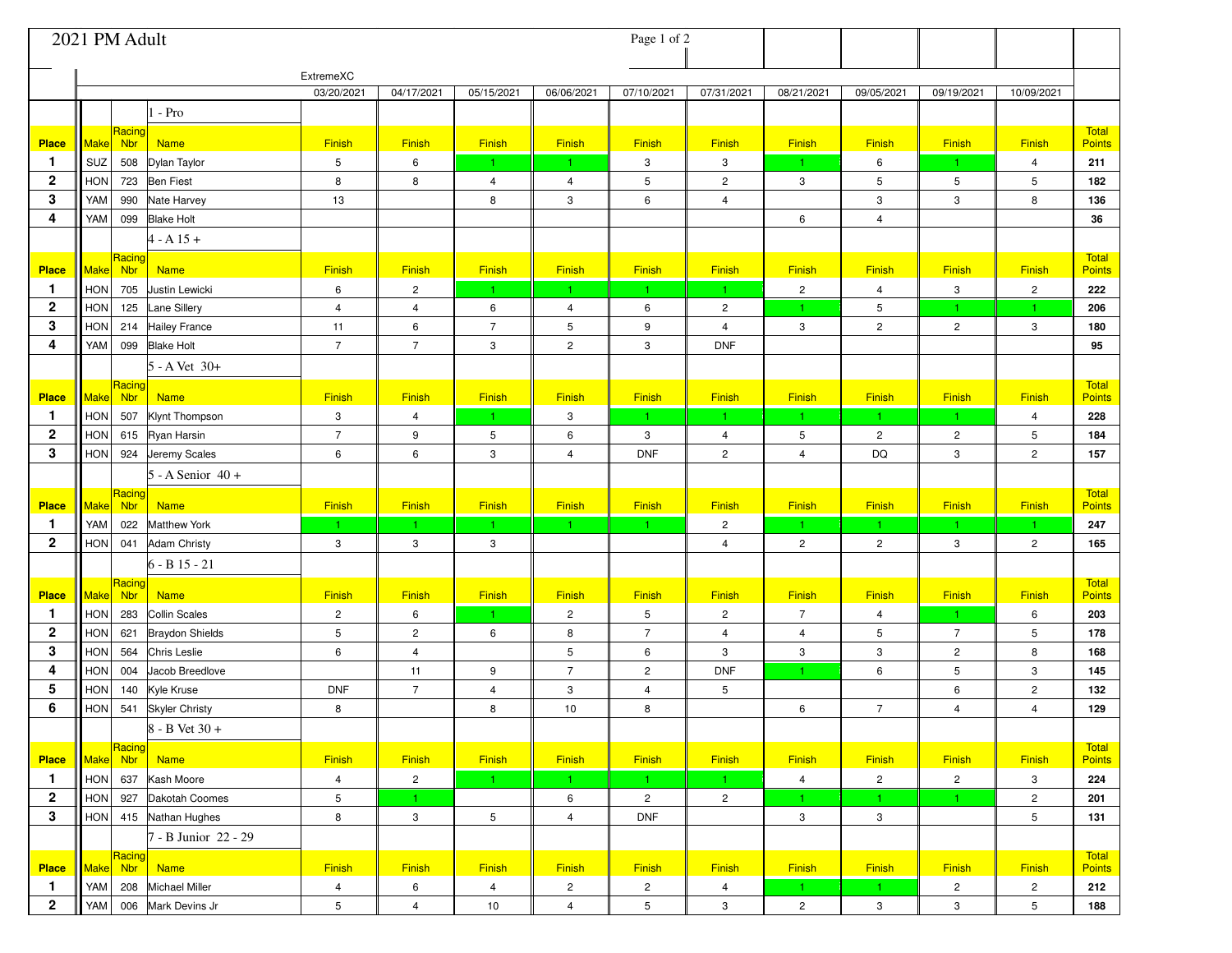| 2021 PM Adult                |             |                      |                                             |                     |                      | Page 1 of 2         |                              |                 |                               |                                |                     |                         |                      |                               |
|------------------------------|-------------|----------------------|---------------------------------------------|---------------------|----------------------|---------------------|------------------------------|-----------------|-------------------------------|--------------------------------|---------------------|-------------------------|----------------------|-------------------------------|
|                              |             |                      |                                             | ExtremeXC           |                      |                     |                              |                 |                               |                                |                     |                         |                      |                               |
|                              |             |                      |                                             | 03/20/2021          | 04/17/2021           | 05/15/2021          | 06/06/2021                   | 07/10/2021      | 07/31/2021                    | 08/21/2021                     | 09/05/2021          | 09/19/2021              | 10/09/2021           |                               |
|                              |             |                      | $1 - Pro$                                   |                     |                      |                     |                              |                 |                               |                                |                     |                         |                      |                               |
| <b>Place</b>                 | Make        | Racing<br><b>Nbr</b> | <b>Name</b>                                 | Finish              | <b>Finish</b>        | <b>Finish</b>       | Finish                       | Finish          | Finish                        | Finish                         | Finish              | <b>Finish</b>           | Finish               | <b>Total</b><br><b>Points</b> |
| 1                            | SUZ         | 508                  | Dylan Taylor                                | 5                   | 6                    | $\mathbf{1}$        |                              | 3               | 3                             | $\mathbf{1}$                   | 6                   | $\vert$ 1               | $\overline{4}$       | 211                           |
| $\mathbf{2}$                 | <b>HON</b>  | 723                  | <b>Ben Fiest</b>                            | 8                   | 8                    | $\overline{4}$      | $\overline{4}$               | 5               | $\overline{c}$                | 3                              | 5                   | 5                       | 5                    | 182                           |
| 3                            | YAM         | 990                  | Nate Harvey                                 | 13                  |                      | 8                   | 3                            | 6               | $\overline{4}$                |                                | 3                   | 3                       | 8                    | 136                           |
| 4                            | YAM         | 099                  | <b>Blake Holt</b>                           |                     |                      |                     |                              |                 |                               | 6                              | $\overline{4}$      |                         |                      | 36                            |
|                              |             |                      | $4 - A 15 +$                                |                     |                      |                     |                              |                 |                               |                                |                     |                         |                      |                               |
|                              |             | Racing               |                                             |                     |                      |                     |                              |                 |                               |                                |                     |                         |                      | <b>Total</b>                  |
| <b>Place</b>                 | <b>Make</b> | Nbr                  | <b>Name</b>                                 | Finish              | Finish               | <b>Finish</b>       | Finish<br>1.                 | <b>Finish</b>   | <b>Finish</b><br>$\mathbf{1}$ | Finish                         | Finish              | Finish                  | Finish               | <b>Points</b>                 |
| $\mathbf{1}$<br>$\mathbf{2}$ | HON<br>HON  | 705<br>125           | Justin Lewicki                              | 6<br>$\overline{4}$ | $\overline{2}$       | $\mathbf{1}$        |                              | $\mathbf{1}$    | $\overline{c}$                | $\overline{2}$<br>$\mathbf{1}$ | $\overline{4}$<br>5 | 3<br>$\mathbf{1}$       | $\overline{2}$<br>1. | 222<br>206                    |
| 3                            | HON         | 214                  | <b>Lane Sillery</b><br><b>Hailey France</b> | 11                  | $\overline{4}$<br>6  | 6<br>$\overline{7}$ | $\overline{\mathbf{4}}$<br>5 | 6<br>9          | $\overline{4}$                | $\mathbf{3}$                   | $\overline{c}$      | $\overline{2}$          | 3                    | 180                           |
| 4                            | YAM         | 099                  | <b>Blake Holt</b>                           | $\overline{7}$      | $\overline{7}$       | 3                   | $\overline{2}$               | 3               | <b>DNF</b>                    |                                |                     |                         |                      | 95                            |
|                              |             |                      | 5 - A Vet 30+                               |                     |                      |                     |                              |                 |                               |                                |                     |                         |                      |                               |
|                              |             | Racing               |                                             |                     |                      |                     |                              |                 |                               |                                |                     |                         |                      | <b>Total</b>                  |
| <b>Place</b>                 | Make        | Nbr                  | <b>Name</b>                                 | Finish              | Finish               | <b>Finish</b>       | Finish                       | Finish          | Finish                        | Finish                         | Finish              | Finish                  | Finish               | Points                        |
| $\mathbf{1}$                 | HON         | 507                  | Klynt Thompson                              | $\mathbf{3}$        | 4                    | $\mathbf{1}$        | 3                            | $\mathbf{1}$    | $\mathbf{1}$                  | 1.                             | $\mathbf{1}$        | $\vert$ 1               | 4                    | 228                           |
| $\mathbf{2}$                 | <b>HON</b>  | 615                  | Ryan Harsin                                 | $\overline{7}$      | 9                    | 5                   | $\,6\,$                      | 3               | $\overline{4}$                | 5                              | $\overline{c}$      | $\overline{c}$          | 5                    | 184                           |
| 3                            | HON         | 924                  | Jeremy Scales                               | 6                   | 6                    | 3                   | $\overline{4}$               | <b>DNF</b>      | $\overline{c}$                | $\overline{4}$                 | DQ                  | 3                       | $\overline{c}$       | 157                           |
|                              |             |                      | $5 - A$ Senior $40 +$                       |                     |                      |                     |                              |                 |                               |                                |                     |                         |                      |                               |
| <b>Place</b>                 | Make Nbr    | Racing               | <b>Name</b>                                 | Finish              | Finish               | Finish              | Finish                       | Finish          | Finish                        | Finish                         | Finish              | Finish                  | Finish               | <b>Total</b><br>Points        |
| $\mathbf{1}$                 | <b>YAM</b>  | 022                  | <b>Matthew York</b>                         | 1.                  | $\blacktriangleleft$ | $\mathbf{1}$        |                              | $\mathbf{1}$    | $\overline{c}$                | 1.                             | $\mathbf{1}$        | $\mathbf{1}$            | 1.                   | 247                           |
| $\mathbf{2}$                 | HON         | 041                  | Adam Christy                                | 3                   | 3                    | 3                   |                              |                 | $\overline{4}$                | $\overline{c}$                 | $\overline{c}$      | 3                       | $\overline{2}$       | 165                           |
|                              |             |                      | $6 - B$ 15 - 21                             |                     |                      |                     |                              |                 |                               |                                |                     |                         |                      |                               |
| <b>Place</b>                 | Make Nbr    | Racing               | <b>Name</b>                                 | Finish              | Finish               | <b>Finish</b>       | Finish                       | Finish          | Finish                        | Finish                         | Finish              | Finish                  | Finish               | <b>Total</b><br><b>Points</b> |
| $\mathbf{1}$                 | HON         | 283                  | <b>Collin Scales</b>                        | $\overline{c}$      | 6                    | $\mathbf{1}$        | $\overline{2}$               | 5               | $\overline{c}$                | $\overline{7}$                 | $\overline{4}$      | $\vert$ 1               | 6                    | 203                           |
| $\mathbf{2}$                 | HON         | 621                  | <b>Braydon Shields</b>                      | 5                   | $\overline{c}$       | 6                   | 8                            | $\overline{7}$  | $\overline{4}$                | $\overline{4}$                 | 5                   | $\overline{7}$          | 5                    | 178                           |
| 3                            | HON         | 564                  | Chris Leslie                                | 6                   | $\overline{4}$       |                     | 5                            | 6               | $\,$ 3                        | $\mathbf{3}$                   | 3                   | $\overline{c}$          | 8                    | 168                           |
| 4                            | HON         | 004                  | Jacob Breedlove                             |                     | 11                   | 9                   | $\overline{7}$               | $\overline{c}$  | <b>DNF</b>                    | 1 <sup>1</sup>                 | 6                   | 5                       | 3                    | 145                           |
| 5                            | <b>HON</b>  | 140                  | Kyle Kruse                                  | <b>DNF</b>          | $\overline{7}$       | $\overline{4}$      | 3                            | $\overline{4}$  | 5                             |                                |                     | 6                       | $\overline{2}$       | 132                           |
| 6                            | HON         | 541                  | Skyler Christy                              | 8                   |                      | 8                   | 10                           | 8               |                               | 6                              | $\overline{7}$      | $\overline{4}$          | $\overline{4}$       | 129                           |
|                              |             |                      | 8 - B Vet 30 +                              |                     |                      |                     |                              |                 |                               |                                |                     |                         |                      |                               |
| <b>Place</b>                 | Make Nbr    | Racing               | <b>Name</b>                                 | Finish              | Finish               | Finish              | Finish                       | Finish          | Finish                        | Finish                         | Finish              | Finish                  | Finish               | <b>Total</b><br><b>Points</b> |
| $\mathbf{1}$                 | HON         | 637                  | Kash Moore                                  | $\overline{4}$      | $\overline{c}$       | $\blacksquare$ 1    |                              | $\mathbf{1}$    | $\mathbf{1}$                  | $\overline{4}$                 | $\mathbf{2}$        | $\overline{c}$          | 3                    | 224                           |
| $\mathbf{2}$                 | HON         | 927                  | Dakotah Coomes                              | $5\phantom{.0}$     | $\mathbf{1}$         |                     | 6                            | $\mathbf{2}$    | $\overline{2}$                | 1.                             | $\mathbf{1}$        | $\mathbf{1}$            | $\overline{2}$       | 201                           |
| 3                            |             | HON 415              | Nathan Hughes                               | 8                   | 3                    | 5                   | $\overline{4}$               | <b>DNF</b>      |                               | $\mathbf{3}$                   | $\mathbf{3}$        |                         | 5                    | 131                           |
|                              |             |                      | 7 - B Junior 22 - 29                        |                     |                      |                     |                              |                 |                               |                                |                     |                         |                      |                               |
| <b>Place</b>                 | Make Nbr    | Racing               | <b>Name</b>                                 | Finish              | Finish               | Finish              | Finish                       | Finish          | Finish                        | Finish                         | Finish              | Finish                  | Finish               | <b>Total</b><br><b>Points</b> |
| $\mathbf{1}$                 | YAM         | 208                  | <b>Michael Miller</b>                       | $\overline{4}$      | 6                    | $\overline{4}$      | $\overline{c}$               | $\mathbf{2}$    | $\overline{4}$                | 1.                             | $1 -$               | $\overline{\mathbf{c}}$ | $\overline{2}$       | 212                           |
| $\mathbf{2}$                 | YAM         | 006                  | Mark Devins Jr                              | 5                   | $\overline{4}$       | 10                  | $\overline{4}$               | $5\phantom{.0}$ | $\,$ 3                        | $\mathbf{2}$                   | $\mathbf{3}$        | 3                       | 5                    | 188                           |